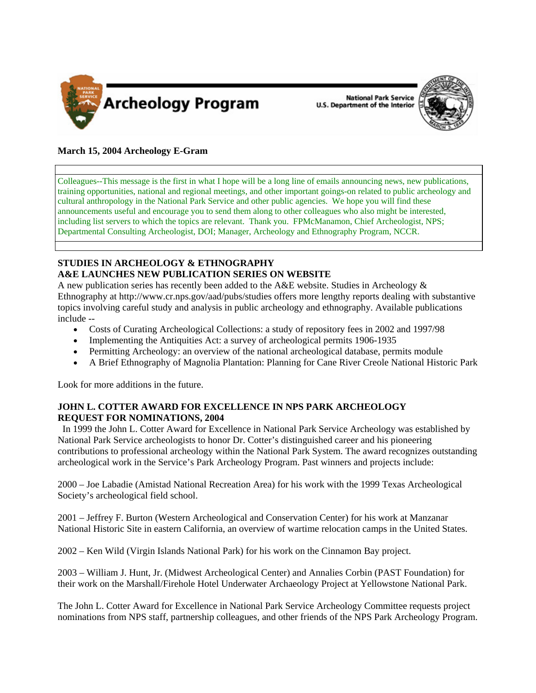

National Park Service<br>U.S. Department of the Interior



## **March 15, 2004 Archeology E-Gram**

Colleagues--This message is the first in what I hope will be a long line of emails announcing news, new publications, training opportunities, national and regional meetings, and other important goings-on related to public archeology and cultural anthropology in the National Park Service and other public agencies. We hope you will find these announcements useful and encourage you to send them along to other colleagues who also might be interested, including list servers to which the topics are relevant. Thank you. FPMcManamon, Chief Archeologist, NPS; Departmental Consulting Archeologist, DOI; Manager, Archeology and Ethnography Program, NCCR.

## **STUDIES IN ARCHEOLOGY & ETHNOGRAPHY A&E LAUNCHES NEW PUBLICATION SERIES ON WEBSITE**

A new publication series has recently been added to the A&E website. Studies in Archeology & Ethnography at [http://www.cr.nps.gov/aad/pubs/studies](http://www.cr.nps.gov/aad/pubs/studies/) offers more lengthy reports dealing with substantive topics involving careful study and analysis in public archeology and ethnography. Available publications include --

- Costs of Curating Archeological Collections: a study of repository fees in 2002 and 1997/98
- Implementing the Antiquities Act: a survey of archeological permits 1906-1935
- Permitting Archeology: an overview of the national archeological database, permits module
- A Brief Ethnography of Magnolia Plantation: Planning for Cane River Creole National Historic Park

Look for more additions in the future.

## **JOHN L. COTTER AWARD FOR EXCELLENCE IN NPS PARK ARCHEOLOGY REQUEST FOR NOMINATIONS, 2004**

 In 1999 the John L. Cotter Award for Excellence in National Park Service Archeology was established by National Park Service archeologists to honor Dr. Cotter's distinguished career and his pioneering contributions to professional archeology within the National Park System. The award recognizes outstanding archeological work in the Service's Park Archeology Program. Past winners and projects include:

2000 – Joe Labadie (Amistad National Recreation Area) for his work with the 1999 Texas Archeological Society's archeological field school.

2001 – Jeffrey F. Burton (Western Archeological and Conservation Center) for his work at Manzanar National Historic Site in eastern California, an overview of wartime relocation camps in the United States.

2002 – Ken Wild (Virgin Islands National Park) for his work on the Cinnamon Bay project.

2003 – William J. Hunt, Jr. (Midwest Archeological Center) and Annalies Corbin (PAST Foundation) for their work on the Marshall/Firehole Hotel Underwater Archaeology Project at Yellowstone National Park.

The John L. Cotter Award for Excellence in National Park Service Archeology Committee requests project nominations from NPS staff, partnership colleagues, and other friends of the NPS Park Archeology Program.